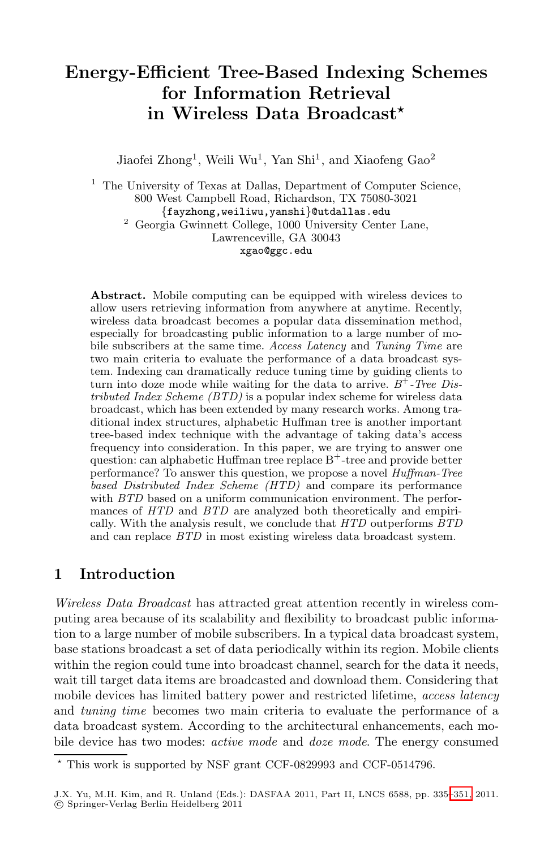# **Energy-Efficient Tree-Based Indexing Schemes for Information Retrieval in Wireless Data Broadcast***-*

Jiaofei Zhong<sup>1</sup>, Weili Wu<sup>1</sup>, Yan Shi<sup>1</sup>, and Xiaofeng Gao<sup>2</sup>

<sup>1</sup> The University of Texas at Dallas, Department of Computer Science, 800 West Campbell Road, Richardson, TX 75080-3021 {fayzhong,weiliwu,yanshi}@utdallas.edu <sup>2</sup> Georgia Gwinnett College, 1000 University Center Lane, Lawrenceville, GA 30043 xgao@ggc.edu

Abstract. Mobile computing can be equipped with wireless devices to allow users retrieving information from anywhere at anytime. Recently, wireless data broadcast becomes a popular data dissemination method, especially for broadcasting public information to a large number of mobile subscribers at the same time. Access Latency and Tuning Time are two main criteria to evaluate the performance of a data broadcast system. Indexing can dramatically reduce tuning time by guiding clients to turn into doze mode while waiting for the data to arrive.  $B^+$ -Tree Distributed Index Scheme (BTD) is a popular index scheme for wireless data broadcast, which has been extended by many research works. Among traditional index structures, alphabetic Huffman tree is another important tree-based index technique with the advantage of taking data's access frequency into consideration. In this paper, we are trying to answer one question: can alphabetic Huffman tree replace  $B^+$ -tree and provide better performance? To answer this question, we propose a novel *Huffman-Tree* based Distributed Index Scheme (HTD) and compare its performance with *BTD* based on a uniform communication environment. The performances of HTD and BTD are analyzed both theoretically and empirically. With the analysis result, we conclude that HTD outperforms BTD and can replace BTD in most existing wireless data broadcast system.

## **1 Introduction**

*Wireless Data Broadcast* has attracted great attention recently in wireless computing area because of its scalability and flexibility to broadcast public information to a large number of mobile subscribers. In a typical data broadcast system, base stations broadcast a set of data periodically within its region. Mobile clients within the region could tune into broadcast channel, search for the data it needs, wait till target data items are broadcasted and download them. Considering that mobile devices has limited battery power and restricted lifetime, *access latency* and *tuning time* becomes two main criteria to evaluate the performance of a data broadcast system. According to the architectural enhancements, each mobile device has two modes: *active mode* and *doze mode*. The energy consumed

<sup>-</sup> This work is supported by NSF grant CCF-0829993 and CCF-0514796.

J.X. Yu, M.H. Kim, and R. Unland (Eds.): DASFAA 2011, Part II, LNCS 6588, pp. 335[–351,](#page-16-0) 2011. -c Springer-Verlag Berlin Heidelberg 2011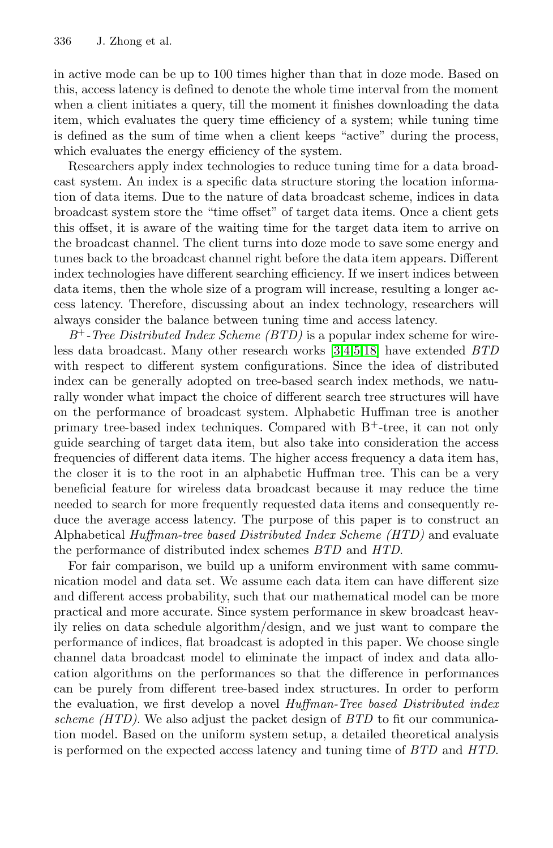in active mode can be up to 100 times higher than that in doze mode. Based on this, access latency is defined to denote the whole time interval from the moment when a client initiates a query, till the moment it finishes downloading the data item, which evaluates the query time efficiency of a system; while tuning time is defined as the sum of time when a client keeps "active" during the process, which evaluates the energy efficiency of the system.

Researchers apply index technologies to reduce tuning time for a data broadcast system. An index is a specific data structure storing the location information of data items. Due to the nature of data broadcast scheme, indices in data broadcast system store the "time offset" of target data items. Once a client gets this offset, it is aware of the waiting time for the target data item to arrive on the broadcast channel. The client turns into doze mode to save some energy and tunes back to the broadcast channel right before the data item appears. Different index technologies have different searching efficiency. If we insert indices between data items, then the whole size of a program will increase, resulting a longer access latency. Therefore, discussing about an index technology, researchers will always consider the balance between tuning time and access latency.

*B*<sup>+</sup>*-Tree Distributed Index Scheme (BTD)* is a popular index scheme for wireless data broadcast. Many other research works [\[3](#page-15-0)[,4](#page-15-1)[,5,](#page-15-2)[18\]](#page-16-1) have extended *BTD* with respect to different system configurations. Since the idea of distributed index can be generally adopted on tree-based search index methods, we naturally wonder what impact the choice of different search tree structures will have on the performance of broadcast system. Alphabetic Huffman tree is another primary tree-based index techniques. Compared with  $B^+$ -tree, it can not only guide searching of target data item, but also take into consideration the access frequencies of different data items. The higher access frequency a data item has, the closer it is to the root in an alphabetic Huffman tree. This can be a very beneficial feature for wireless data broadcast because it may reduce the time needed to search for more frequently requested data items and consequently reduce the average access latency. The purpose of this paper is to construct an Alphabetical *Huffman-tree based Distributed Index Scheme (HTD)* and evaluate the performance of distributed index schemes *BTD* and *HTD*.

For fair comparison, we build up a uniform environment with same communication model and data set. We assume each data item can have different size and different access probability, such that our mathematical model can be more practical and more accurate. Since system performance in skew broadcast heavily relies on data schedule algorithm/design, and we just want to compare the performance of indices, flat broadcast is adopted in this paper. We choose single channel data broadcast model to eliminate the impact of index and data allocation algorithms on the performances so that the difference in performances can be purely from different tree-based index structures. In order to perform the evaluation, we first develop a novel *Huffman-Tree based Distributed index scheme (HTD)*. We also adjust the packet design of *BTD* to fit our communication model. Based on the uniform system setup, a detailed theoretical analysis is performed on the expected access latency and tuning time of *BTD* and *HTD*.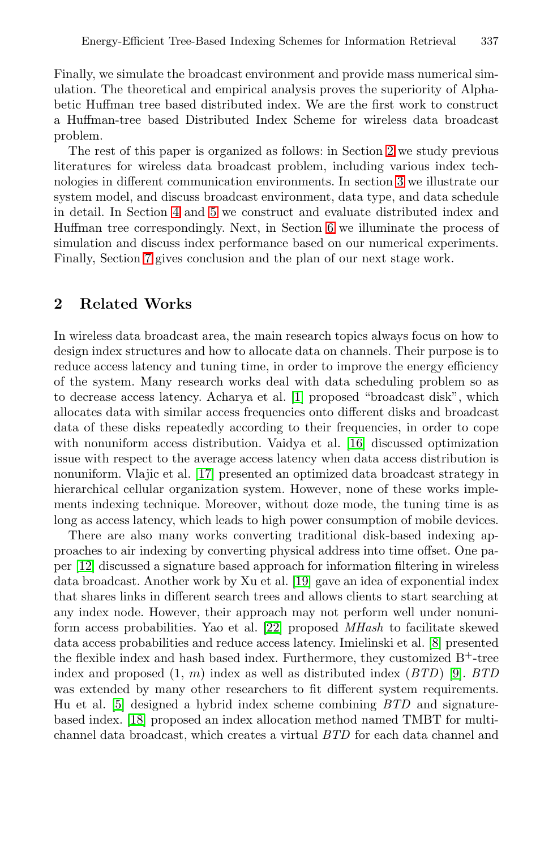Finally, we simulate the broadcast environment and provide mass numerical simulation. The theoretical and empirical analysis proves the superiority of Alphabetic Huffman tree based distributed index. We are the first work to construct a Huffman-tree based Distributed Index Scheme for wireless data broadcast problem.

The rest of this paper is organized as follows: in Section [2](#page-2-0) we study previous literatures for wireless data broadcast problem, including various index technologies in different communication environments. In section [3](#page-3-0) we illustrate our system model, and discuss broadcast environment, data type, and data schedule in detail. In Section [4](#page-5-0) and [5](#page-9-0) we construct and evaluate distributed index and Huffman tree correspondingly. Next, in Section [6](#page-13-0) we illuminate the process of simulation and discuss index performance based on our numerical experiments. Finally, Section [7](#page-14-0) gives conclusion and the plan of our next stage work.

### <span id="page-2-0"></span>**2 Related Works**

In wireless data broadcast area, the main research topics always focus on how to design index structures and how to allocate data on channels. Their purpose is to reduce access latency and tuning time, in order to improve the energy efficiency of the system. Many research works deal with data scheduling problem so as to decrease access latency. Acharya et al. [\[1\]](#page-15-3) proposed "broadcast disk", which allocates data with similar access frequencies onto different disks and broadcast data of these disks repeatedly according to their frequencies, in order to cope with nonuniform access distribution. Vaidya et al. [\[16\]](#page-16-2) discussed optimization issue with respect to the average access latency when data access distribution is nonuniform. Vlajic et al. [\[17\]](#page-16-3) presented an optimized data broadcast strategy in hierarchical cellular organization system. However, none of these works implements indexing technique. Moreover, without doze mode, the tuning time is as long as access latency, which leads to high power consumption of mobile devices.

There are also many works converting traditional disk-based indexing approaches to air indexing by converting physical address into time offset. One paper [\[12\]](#page-15-4) discussed a signature based approach for information filtering in wireless data broadcast. Another work by Xu et al. [\[19\]](#page-16-4) gave an idea of exponential index that shares links in different search trees and allows clients to start searching at any index node. However, their approach may not perform well under nonuniform access probabilities. Yao et al. [\[22\]](#page-16-5) proposed *MHash* to facilitate skewed data access probabilities and reduce access latency. Imielinski et al. [\[8\]](#page-15-5) presented the flexible index and hash based index. Furthermore, they customized  $B^+$ -tree index and proposed (1, m) index as well as distributed index (*BTD*) [\[9\]](#page-15-6). *BTD* was extended by many other researchers to fit different system requirements. Hu et al. [\[5\]](#page-15-2) designed a hybrid index scheme combining *BTD* and signaturebased index. [\[18\]](#page-16-1) proposed an index allocation method named TMBT for multichannel data broadcast, which creates a virtual *BTD* for each data channel and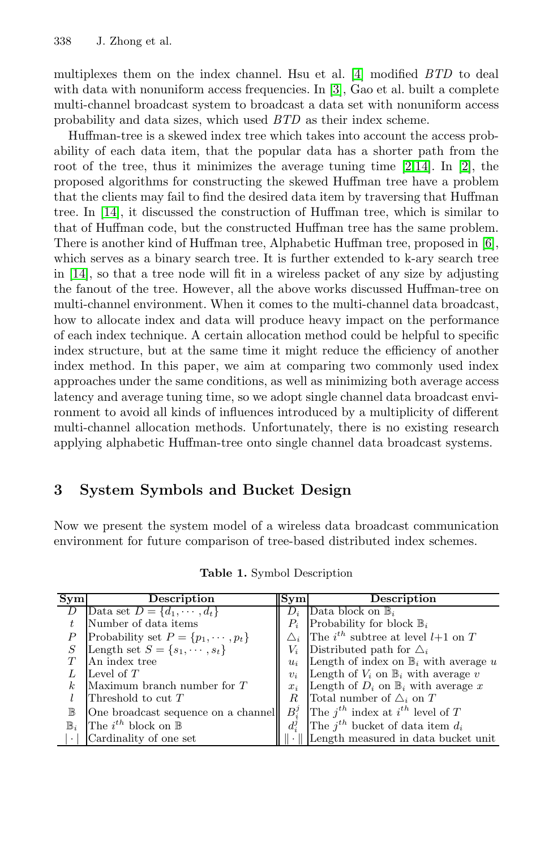multiplexes them on the index channel. Hsu et al. [\[4\]](#page-15-1) modified *BTD* to deal with data with nonuniform access frequencies. In [\[3\]](#page-15-0), Gao et al. built a complete multi-channel broadcast system to broadcast a data set with nonuniform access probability and data sizes, which used *BTD* as their index scheme.

Huffman-tree is a skewed index tree which takes into account the access probability of each data item, that the popular data has a shorter path from the root of the tree, thus it minimizes the average tuning time  $[2,14]$  $[2,14]$ . In  $[2]$ , the proposed algorithms for constructing the skewed Huffman tree have a problem that the clients may fail to find the desired data item by traversing that Huffman tree. In [\[14\]](#page-16-6), it discussed the construction of Huffman tree, which is similar to that of Huffman code, but the constructed Huffman tree has the same problem. There is another kind of Huffman tree, Alphabetic Huffman tree, proposed in [\[6\]](#page-15-8), which serves as a binary search tree. It is further extended to k-ary search tree in [\[14\]](#page-16-6), so that a tree node will fit in a wireless packet of any size by adjusting the fanout of the tree. However, all the above works discussed Huffman-tree on multi-channel environment. When it comes to the multi-channel data broadcast, how to allocate index and data will produce heavy impact on the performance of each index technique. A certain allocation method could be helpful to specific index structure, but at the same time it might reduce the efficiency of another index method. In this paper, we aim at comparing two commonly used index approaches under the same conditions, as well as minimizing both average access latency and average tuning time, so we adopt single channel data broadcast environment to avoid all kinds of influences introduced by a multiplicity of different multi-channel allocation methods. Unfortunately, there is no existing research applying alphabetic Huffman-tree onto single channel data broadcast systems.

## <span id="page-3-0"></span>**3 System Symbols and Bucket Design**

Now we present the system model of a wireless data broadcast communication environment for future comparison of tree-based distributed index schemes.

<span id="page-3-1"></span>

| Sym             | Description                               | Sym     | Description                                         |
|-----------------|-------------------------------------------|---------|-----------------------------------------------------|
| D               | Data set $D = \{d_1, \dots, d_t\}$        | $D_i$   | Data block on $\mathbb{B}_i$                        |
|                 | Number of data items                      | $P_i$   | Probability for block $\mathbb{B}_i$                |
|                 | Probability set $P = \{p_1, \dots, p_t\}$ |         | $\Delta_i$ The $i^{th}$ subtree at level $l+1$ on T |
| S               | Length set $S = \{s_1, \dots, s_t\}$      | $V_i$   | Distributed path for $\Delta_i$                     |
|                 | An index tree                             | $u_i$   | Length of index on $\mathbb{B}_i$ with average u    |
|                 | Level of $T$                              | $v_i$   | Length of $V_i$ on $\mathbb{B}_i$ with average v    |
| k.              | Maximum branch number for $T$             | $x_i$   | Length of $D_i$ on $\mathbb{B}_i$ with average x    |
|                 | Threshold to cut $T$                      | R       | Total number of $\Delta_i$ on T                     |
| $_{\mathbb{B}}$ | One broadcast sequence on a channel       | $B_i^j$ | The $j^{th}$ index at $i^{th}$ level of T           |
| $\mathbb{B}_i$  | The $i^{th}$ block on $\mathbb B$         | $d_i^j$ | The $j^{th}$ bucket of data item $d_i$              |
|                 | Cardinality of one set                    |         | Length measured in data bucket unit                 |

**Table 1.** Symbol Description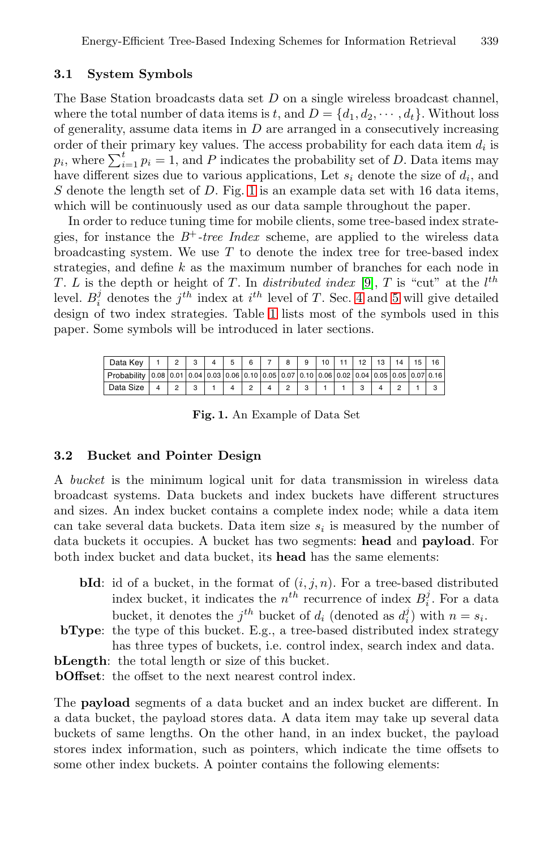### **3.1 System Symbols**

The Base Station broadcasts data set D on a single wireless broadcast channel, where the total number of data items is t, and  $D = \{d_1, d_2, \dots, d_t\}$ . Without loss of generality, assume data items in  $D$  are arranged in a consecutively increasing order of their primary key values. The access probability for each data item  $d_i$  is pi, where  $\sum_{i=1}^{t} p_i = 1$ , and P indicates the probability set of D. Data items may have different sizes due to various applications, Let  $s_i$  denote the size of  $d_i$ , and  $S$  denote the length set of  $D$ . Fig. [1](#page-4-0) is an example data set with 16 data items, which will be continuously used as our data sample throughout the paper.

In order to reduce tuning time for mobile clients, some tree-based index strategies, for instance the *B*<sup>+</sup>*-tree Index* scheme, are applied to the wireless data broadcasting system. We use  $T$  to denote the index tree for tree-based index strategies, and define  $k$  as the maximum number of branches for each node in T. L is the depth or height of T. In *distributed index* [\[9\]](#page-15-6), T is "cut" at the  $l^{th}$ level.  $B_i^j$  denotes the  $j^{th}$  index at  $i^{th}$  level of T. Sec. [4](#page-5-0) and [5](#page-9-0) will give detailed design of two index strategies. Table [1](#page-3-1) lists most of the symbols used in this paper. Some symbols will be introduced in later sections.

| Data Kev                                                                                                          |  |  |  |  | 9 | 10 | 12 | 13 | 14 | 15 |  |
|-------------------------------------------------------------------------------------------------------------------|--|--|--|--|---|----|----|----|----|----|--|
| Probability  0.08  0.01  0.04  0.03  0.06  0.10  0.05  0.07   0.10  0.06   0.02   0.04   0.05   0.05   0.07  0.16 |  |  |  |  |   |    |    |    |    |    |  |
| <sup>'</sup> Data Size                                                                                            |  |  |  |  |   |    |    |    |    |    |  |

<span id="page-4-0"></span>**Fig. 1.** An Example of Data Set

#### <span id="page-4-1"></span>**3.2 Bucket and Pointer Design**

A *bucket* is the minimum logical unit for data transmission in wireless data broadcast systems. Data buckets and index buckets have different structures and sizes. An index bucket contains a complete index node; while a data item can take several data buckets. Data item size  $s_i$  is measured by the number of data buckets it occupies. A bucket has two segments: **head** and **payload**. For both index bucket and data bucket, its **head** has the same elements:

- **bId**: id of a bucket, in the format of  $(i, j, n)$ . For a tree-based distributed index bucket, it indicates the  $n^{th}$  recurrence of index  $B_i^j$ . For a data bucket, it denotes the  $j^{th}$  bucket of  $d_i$  (denoted as  $d_i^j$ ) with  $n = s_i$ .
- **bType**: the type of this bucket. E.g., a tree-based distributed index strategy has three types of buckets, i.e. control index, search index and data.

**bLength**: the total length or size of this bucket.

**bOffset**: the offset to the next nearest control index.

The **payload** segments of a data bucket and an index bucket are different. In a data bucket, the payload stores data. A data item may take up several data buckets of same lengths. On the other hand, in an index bucket, the payload stores index information, such as pointers, which indicate the time offsets to some other index buckets. A pointer contains the following elements: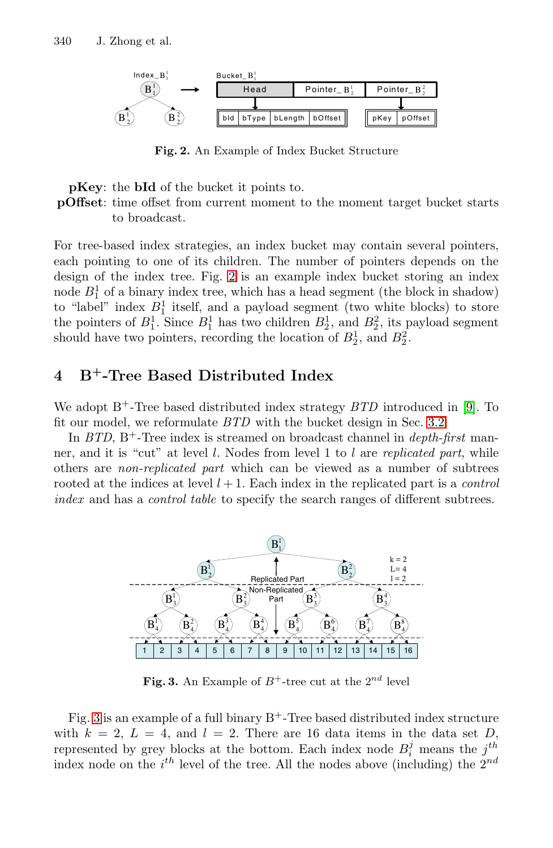

<span id="page-5-1"></span>**Fig. 2.** An Example of Index Bucket Structure

**pKey**: the **bId** of the bucket it points to.

**pOffset**: time offset from current moment to the moment target bucket starts to broadcast.

For tree-based index strategies, an index bucket may contain several pointers, each pointing to one of its children. The number of pointers depends on the design of the index tree. Fig. [2](#page-5-1) is an example index bucket storing an index node  $B_1^1$  of a binary index tree, which has a head segment (the block in shadow) to "label" index  $B_1^1$  itself, and a payload segment (two white blocks) to store the pointers of  $B_1^1$ . Since  $B_1^1$  has two children  $B_2^1$ , and  $B_2^2$ , its payload segment should have two pointers, recording the location of  $B_2^1$ , and  $B_2^2$ .

## <span id="page-5-0"></span>**4 B<sup>+</sup>-Tree Based Distributed Index**

We adopt B<sup>+</sup>-Tree based distributed index strategy *BTD* introduced in [\[9\]](#page-15-6). To fit our model, we reformulate *BTD* with the bucket design in Sec. [3.2.](#page-4-1)

In *BTD*, B<sup>+</sup>-Tree index is streamed on broadcast channel in *depth-first* manner, and it is "cut" at level l. Nodes from level 1 to l are *replicated part*, while others are *non-replicated part* which can be viewed as a number of subtrees rooted at the indices at level  $l + 1$ . Each index in the replicated part is a *control index* and has a *control table* to specify the search ranges of different subtrees.



<span id="page-5-2"></span>**Fig. 3.** An Example of  $B^+$ -tree cut at the  $2^{nd}$  level

Fig. [3](#page-5-2) is an example of a full binary  $B^+$ -Tree based distributed index structure with  $k = 2$ ,  $L = 4$ , and  $l = 2$ . There are 16 data items in the data set D, represented by grey blocks at the bottom. Each index node  $B_i^j$  means the j<sup>th</sup> index node on the  $i^{th}$  level of the tree. All the nodes above (including) the  $2^{nd}$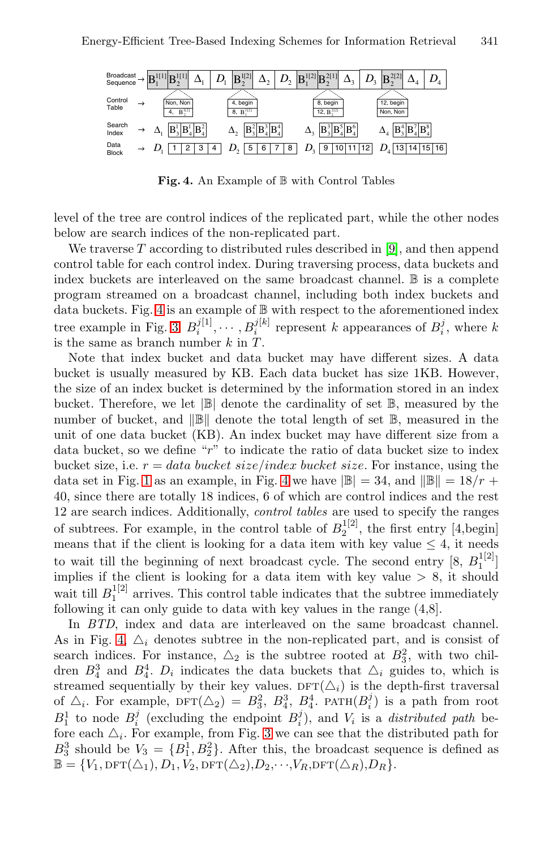

<span id="page-6-0"></span>**Fig. 4.** An Example of B with Control Tables

level of the tree are control indices of the replicated part, while the other nodes below are search indices of the non-replicated part.

We traverse  $T$  according to distributed rules described in [\[9\]](#page-15-6), and then append control table for each control index. During traversing process, data buckets and index buckets are interleaved on the same broadcast channel. B is a complete program streamed on a broadcast channel, including both index buckets and data buckets. Fig. [4](#page-6-0) is an example of  $\mathbb B$  with respect to the aforementioned index tree example in Fig. [3.](#page-5-2)  $B_i^{j[1]}, \dots, B_i^{j[k]}$  represent k appearances of  $B_i^j$ , where k is the same as branch number  $k$  in  $T$ .

Note that index bucket and data bucket may have different sizes. A data bucket is usually measured by KB. Each data bucket has size 1KB. However, the size of an index bucket is determined by the information stored in an index bucket. Therefore, we let  $\mathbb{B}$  denote the cardinality of set  $\mathbb{B}$ , measured by the number of bucket, and  $\|\mathbb{B}\|$  denote the total length of set  $\mathbb{B}$ , measured in the unit of one data bucket (KB). An index bucket may have different size from a data bucket, so we define " $r$ " to indicate the ratio of data bucket size to index bucket size, i.e.  $r = data$  bucket size/index bucket size. For instance, using the data set in Fig. [1](#page-4-0) as an example, in Fig. [4](#page-6-0) we have  $|\mathbb{B}| = 34$ , and  $||\mathbb{B}|| = 18/r +$ 40, since there are totally 18 indices, 6 of which are control indices and the rest 12 are search indices. Additionally, *control tables* are used to specify the ranges of subtrees. For example, in the control table of  $B_2^{1[2]}$ , the first entry [4,begin] means that if the client is looking for a data item with key value  $\leq 4$ , it needs to wait till the beginning of next broadcast cycle. The second entry  $[8, B_1^{1[2]}]$ implies if the client is looking for a data item with key value  $> 8$ , it should wait till  $B_1^{1[2]}$  arrives. This control table indicates that the subtree immediately following it can only guide to data with key values in the range (4,8].

In *BTD*, index and data are interleaved on the same broadcast channel. As in Fig. [4,](#page-6-0)  $\Delta_i$  denotes subtree in the non-replicated part, and is consist of search indices. For instance,  $\Delta_2$  is the subtree rooted at  $B_3^2$ , with two children  $B_4^3$  and  $B_4^4$ .  $D_i$  indicates the data buckets that  $\Delta_i$  guides to, which is streamed sequentially by their key values.  $DFT(\triangle_i)$  is the depth-first traversal of  $\Delta_i$ . For example, DFT( $\Delta_2$ ) =  $B_3^2$ ,  $B_4^3$ ,  $B_4^4$ . PATH( $B_i^j$ ) is a path from root  $B_1^1$  to node  $B_i^j$  (excluding the endpoint  $B_i^j$ ), and  $V_i$  is a *distributed path* before each  $\Delta_i$ . For example, from Fig. [3](#page-5-2) we can see that the distributed path for  $B_3^3$  should be  $V_3 = \{B_1^1, B_2^2\}$ . After this, the broadcast sequence is defined as  $\mathbb{B} = \{V_1, \text{DFT}(\triangle_1), D_1, V_2, \text{DFT}(\triangle_2), D_2, \cdots, V_R, \text{DFT}(\triangle_R), D_R\}.$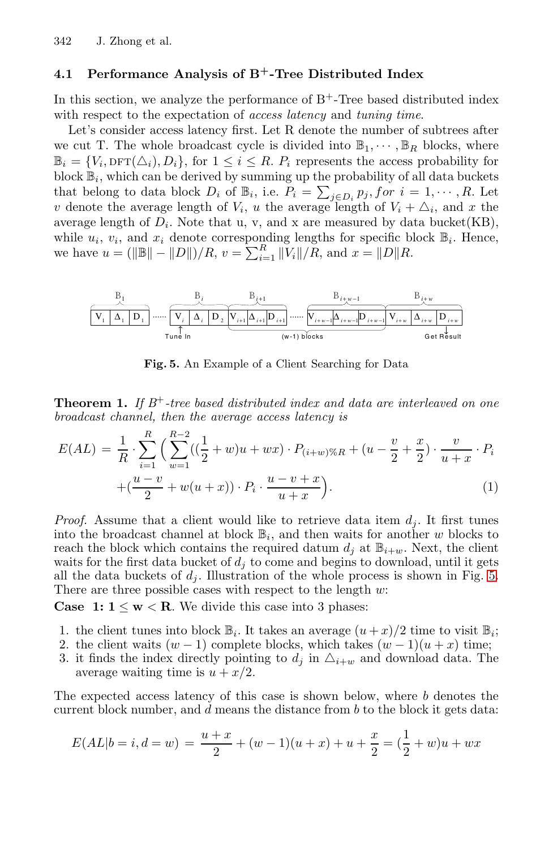### **4.1 Performance Analysis of B+-Tree Distributed Index**

In this section, we analyze the performance of  $B^+$ -Tree based distributed index with respect to the expectation of *access latency* and *tuning time*.

Let's consider access latency first. Let R denote the number of subtrees after we cut T. The whole broadcast cycle is divided into  $\mathbb{B}_1, \cdots, \mathbb{B}_R$  blocks, where  $\mathbb{B}_i = \{V_i, \text{DFT}(\Delta_i), D_i\}$ , for  $1 \leq i \leq R$ .  $P_i$  represents the access probability for block  $\mathbb{B}_i$ , which can be derived by summing up the probability of all data buckets that belong to data block  $D_i$  of  $\mathbb{B}_i$ , i.e.  $P_i = \sum_{j \in D_i} p_j$ , for  $i = 1, \dots, R$ . Let v denote the average length of  $V_i$ , u the average length of  $V_i + \Delta_i$ , and x the average length of  $D_i$ . Note that u, v, and x are measured by data bucket(KB), while  $u_i$ ,  $v_i$ , and  $x_i$  denote corresponding lengths for specific block  $\mathbb{B}_i$ . Hence, we have  $u = (\|\mathbb{B}\| - \|D\|)/R$ ,  $v = \sum_{i=1}^{R} \|V_i\|/R$ , and  $x = \|D\|R$ .



<span id="page-7-0"></span>**Fig. 5.** An Example of a Client Searching for Data

<span id="page-7-1"></span>**Theorem 1.** *If B*<sup>+</sup>*-tree based distributed index and data are interleaved on one broadcast channel, then the average access latency is*

$$
E(AL) = \frac{1}{R} \cdot \sum_{i=1}^{R} \left( \sum_{w=1}^{R-2} \left( \frac{1}{2} + w \right) u + wx \right) \cdot P_{(i+w)\%R} + \left( u - \frac{v}{2} + \frac{x}{2} \right) \cdot \frac{v}{u+x} \cdot P_i + \left( \frac{u-v}{2} + w(u+x) \right) \cdot P_i \cdot \frac{u-v+x}{u+x}.
$$
\n(1)

*Proof.* Assume that a client would like to retrieve data item  $d_i$ . It first tunes into the broadcast channel at block  $\mathbb{B}_i$ , and then waits for another w blocks to reach the block which contains the required datum  $d_i$  at  $\mathbb{B}_{i+w}$ . Next, the client waits for the first data bucket of  $d_i$  to come and begins to download, until it gets all the data buckets of  $d_j$ . Illustration of the whole process is shown in Fig. [5.](#page-7-0) There are three possible cases with respect to the length  $w$ :

**Case 1:**  $1 \leq w < R$ . We divide this case into 3 phases:

- 1. the client tunes into block  $\mathbb{B}_i$ . It takes an average  $(u+x)/2$  time to visit  $\mathbb{B}_i$ ;
- 2. the client waits  $(w 1)$  complete blocks, which takes  $(w 1)(u + x)$  time;
- 3. it finds the index directly pointing to  $d_i$  in  $\Delta_{i+w}$  and download data. The average waiting time is  $u + x/2$ .

The expected access latency of this case is shown below, where b denotes the current block number, and  $d$  means the distance from  $b$  to the block it gets data:

$$
E(AL|b=i, d=w) = \frac{u+x}{2} + (w-1)(u+x) + u + \frac{x}{2} = (\frac{1}{2} + w)u + wx
$$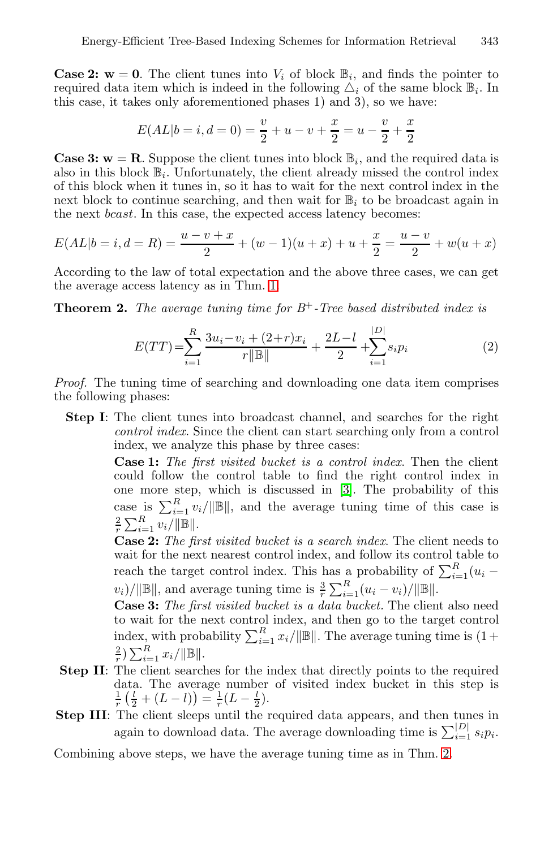**Case 2:**  $w = 0$ . The client tunes into  $V_i$  of block  $\mathbb{B}_i$ , and finds the pointer to required data item which is indeed in the following  $\Delta_i$  of the same block  $\mathbb{B}_i$ . In this case, it takes only aforementioned phases 1) and 3), so we have:

$$
E(AL|b=i, d=0) = \frac{v}{2} + u - v + \frac{x}{2} = u - \frac{v}{2} + \frac{x}{2}
$$

**Case 3:**  $w = R$ . Suppose the client tunes into block  $\mathbb{B}_i$ , and the required data is also in this block  $\mathbb{B}_i$ . Unfortunately, the client already missed the control index of this block when it tunes in, so it has to wait for the next control index in the next block to continue searching, and then wait for  $\mathbb{B}_i$  to be broadcast again in the next bcast. In this case, the expected access latency becomes:

$$
E(AL|b=i, d=R) = \frac{u-v+x}{2} + (w-1)(u+x) + u + \frac{x}{2} = \frac{u-v}{2} + w(u+x)
$$

According to the law of total expectation and the above three cases, we can get the average access latency as in Thm. [1.](#page-7-1)

<span id="page-8-0"></span>**Theorem 2.** *The average tuning time for B*<sup>+</sup>*-Tree based distributed index is*

$$
E(TT) = \sum_{i=1}^{R} \frac{3u_i - v_i + (2+r)x_i}{r||\mathbb{B}||} + \frac{2L - l}{2} + \sum_{i=1}^{|D|} s_i p_i
$$
 (2)

*Proof.* The tuning time of searching and downloading one data item comprises the following phases:

**Step I**: The client tunes into broadcast channel, and searches for the right *control index*. Since the client can start searching only from a control index, we analyze this phase by three cases:

> **Case 1:** *The first visited bucket is a control index*. Then the client could follow the control table to find the right control index in one more step, which is discussed in [\[3\]](#page-15-0). The probability of this case is  $\sum_{i=1}^{R} v_i / ||\mathbb{B}||$ , and the average tuning time of this case is  $\frac{2}{r} \sum_{i=1}^{R} \overline{v_i} / ||\mathbb{B}||.$

> **Case 2:** *The first visited bucket is a search index*. The client needs to wait for the next nearest control index, and follow its control table to reach the target control index. This has a probability of  $\sum_{i=1}^{R} (u_i (v_i) / ||\mathbb{B}||$ , and average tuning time is  $\frac{3}{r} \sum_{i=1}^{R} (u_i - v_i) / ||\mathbb{B}||$ .

> **Case 3:** *The first visited bucket is a data bucket.* The client also need to wait for the next control index, and then go to the target control index, with probability  $\sum_{i=1}^{R} x_i / ||\mathbb{B}||$ . The average tuning time is  $(1 +$  $\sum_{i=1}^{R} x_i / ||\mathbb{B}||.$

- **Step II**: The client searches for the index that directly points to the required data. The average number of visited index bucket in this step is  $\frac{1}{r}(\frac{l}{2}+(L-l))=\frac{1}{r}(L-\frac{l}{2}).$
- Step III: The client sleeps until the required data appears, and then tunes in again to download data. The average downloading time is  $\sum_{i=1}^{|D|} s_i p_i$ .

Combining above steps, we have the average tuning time as in Thm. [2.](#page-8-0)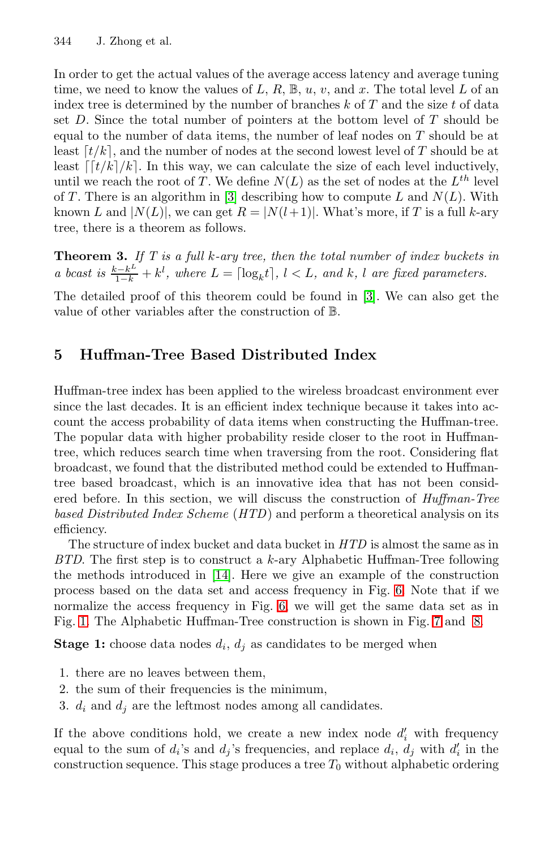In order to get the actual values of the average access latency and average tuning time, we need to know the values of L, R, B, u, v, and x. The total level L of an index tree is determined by the number of branches  $k$  of  $T$  and the size  $t$  of data set  $D$ . Since the total number of pointers at the bottom level of  $T$  should be equal to the number of data items, the number of leaf nodes on T should be at least  $[t/k]$ , and the number of nodes at the second lowest level of T should be at least  $\left[\left[t/k\right]/k\right]$ . In this way, we can calculate the size of each level inductively, until we reach the root of T. We define  $N(L)$  as the set of nodes at the  $L^{th}$  level of T. There is an algorithm in [\[3\]](#page-15-0) describing how to compute L and  $N(L)$ . With known L and  $|N(L)|$ , we can get  $R = |N(l+1)|$ . What's more, if T is a full k-ary tree, there is a theorem as follows.

**Theorem 3.** *If T is a full* k*-ary tree, then the total number of index buckets in a* bcast is  $\frac{k-k^L}{1-k} + k^l$ , where  $L = \lceil \log_k t \rceil$ ,  $l < L$ , and k, l are fixed parameters.

The detailed proof of this theorem could be found in [\[3\]](#page-15-0). We can also get the value of other variables after the construction of B.

## <span id="page-9-0"></span>**5 Huffman-Tree Based Distributed Index**

Huffman-tree index has been applied to the wireless broadcast environment ever since the last decades. It is an efficient index technique because it takes into account the access probability of data items when constructing the Huffman-tree. The popular data with higher probability reside closer to the root in Huffmantree, which reduces search time when traversing from the root. Considering flat broadcast, we found that the distributed method could be extended to Huffmantree based broadcast, which is an innovative idea that has not been considered before. In this section, we will discuss the construction of *Huffman-Tree based Distributed Index Scheme* (*HTD*) and perform a theoretical analysis on its efficiency.

The structure of index bucket and data bucket in *HTD* is almost the same as in *BTD*. The first step is to construct a k-ary Alphabetic Huffman-Tree following the methods introduced in [\[14\]](#page-16-6). Here we give an example of the construction process based on the data set and access frequency in Fig. [6.](#page-10-0) Note that if we normalize the access frequency in Fig. [6,](#page-10-0) we will get the same data set as in Fig. [1.](#page-4-0) The Alphabetic Huffman-Tree construction is shown in Fig. [7](#page-10-1) and [8.](#page-10-2)

**Stage 1:** choose data nodes  $d_i$ ,  $d_j$  as candidates to be merged when

- 1. there are no leaves between them,
- 2. the sum of their frequencies is the minimum,
- 3.  $d_i$  and  $d_j$  are the leftmost nodes among all candidates.

If the above conditions hold, we create a new index node  $d_i'$  with frequency equal to the sum of  $d_i$ 's and  $d_j$ 's frequencies, and replace  $d_i$ ,  $d_j$  with  $d'_i$  in the construction sequence. This stage produces a tree  $T_0$  without alphabetic ordering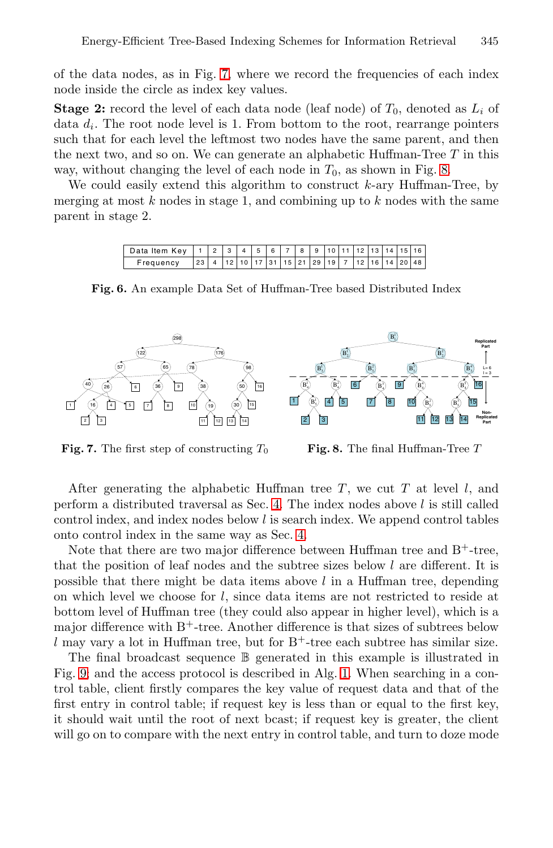of the data nodes, as in Fig. [7,](#page-10-1) where we record the frequencies of each index node inside the circle as index key values.

**Stage 2:** record the level of each data node (leaf node) of  $T_0$ , denoted as  $L_i$  of data  $d_i$ . The root node level is 1. From bottom to the root, rearrange pointers such that for each level the leftmost two nodes have the same parent, and then the next two, and so on. We can generate an alphabetic Huffman-Tree  $T$  in this way, without changing the level of each node in  $T_0$ , as shown in Fig. [8.](#page-10-2)

We could easily extend this algorithm to construct  $k$ -ary Huffman-Tree, by merging at most  $k$  nodes in stage 1, and combining up to  $k$  nodes with the same parent in stage 2.

| Data Item Kev |    |  |  | $\sim$ |    | 8   | u  |                 |  |  | 16                |
|---------------|----|--|--|--------|----|-----|----|-----------------|--|--|-------------------|
| Frequency     | 23 |  |  |        | 15 | 121 | 29 | 19 <sup>1</sup> |  |  | $\Delta$ <b>R</b> |

**Fig. 6.** An example Data Set of Huffman-Tree based Distributed Index



**Fig. 7.** The first step of constructing  $T_0$ 

<span id="page-10-2"></span><span id="page-10-1"></span><span id="page-10-0"></span>**Fig. 8.** The final Huffman-Tree T

After generating the alphabetic Huffman tree  $T$ , we cut  $T$  at level  $l$ , and perform a distributed traversal as Sec. [4.](#page-5-0) The index nodes above l is still called control index, and index nodes below l is search index. We append control tables onto control index in the same way as Sec. [4.](#page-5-0)

Note that there are two major difference between Huffman tree and  $B^+$ -tree, that the position of leaf nodes and the subtree sizes below  $l$  are different. It is possible that there might be data items above  $l$  in a Huffman tree, depending on which level we choose for l, since data items are not restricted to reside at bottom level of Huffman tree (they could also appear in higher level), which is a major difference with  $B^+$ -tree. Another difference is that sizes of subtrees below l may vary a lot in Huffman tree, but for  $B^+$ -tree each subtree has similar size.

The final broadcast sequence B generated in this example is illustrated in Fig. [9;](#page-11-0) and the access protocol is described in Alg. [1.](#page-11-1) When searching in a control table, client firstly compares the key value of request data and that of the first entry in control table; if request key is less than or equal to the first key, it should wait until the root of next bcast; if request key is greater, the client will go on to compare with the next entry in control table, and turn to doze mode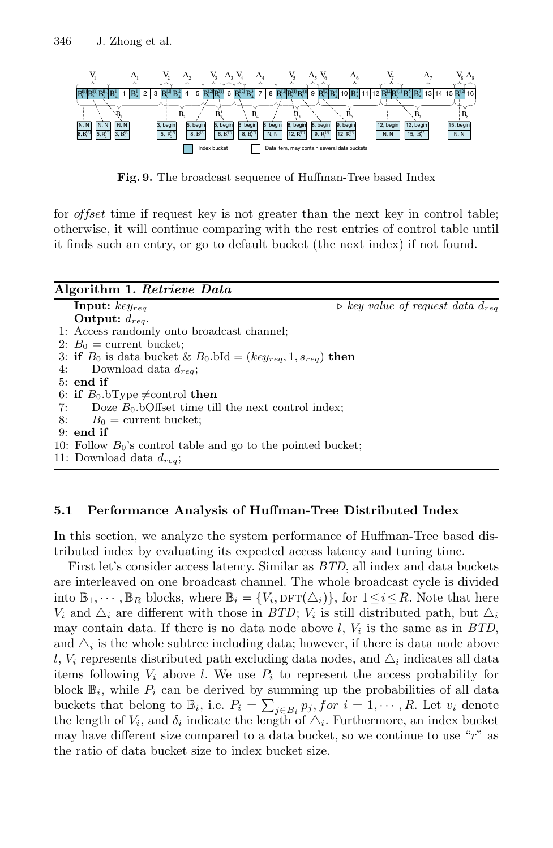

<span id="page-11-0"></span>**Fig. 9.** The broadcast sequence of Huffman-Tree based Index

for *offset* time if request key is not greater than the next key in control table; otherwise, it will continue comparing with the rest entries of control table until it finds such an entry, or go to default bucket (the next index) if not found.

<span id="page-11-1"></span>

| Algorithm 1. Retrieve Data                                                         |                                                      |
|------------------------------------------------------------------------------------|------------------------------------------------------|
| <b>Input:</b> $key_{req}$                                                          | $\triangleright$ key value of request data $d_{req}$ |
| Output: $d_{rea.}$                                                                 |                                                      |
| 1: Access randomly onto broadcast channel;                                         |                                                      |
| 2: $B_0 =$ current bucket;                                                         |                                                      |
| 3: if $B_0$ is data bucket & $B_0$ bId = (key <sub>rea</sub> , 1, $s_{req}$ ) then |                                                      |
| 4: Download data $d_{rea}$ ;                                                       |                                                      |
| $5:$ end if                                                                        |                                                      |
| 6: if $B_0$ .bType $\neq$ control then                                             |                                                      |
| 7: Doze $B_0$ boffset time till the next control index;                            |                                                      |
| 8: $B_0 =$ current bucket:                                                         |                                                      |
| $9:$ end if                                                                        |                                                      |
| 10: Follow $B_0$ 's control table and go to the pointed bucket;                    |                                                      |
| 11: Download data $d_{rea}$ ;                                                      |                                                      |

### **5.1 Performance Analysis of Huffman-Tree Distributed Index**

In this section, we analyze the system performance of Huffman-Tree based distributed index by evaluating its expected access latency and tuning time.

First let's consider access latency. Similar as *BTD*, all index and data buckets are interleaved on one broadcast channel. The whole broadcast cycle is divided into  $\mathbb{B}_1, \dots, \mathbb{B}_R$  blocks, where  $\mathbb{B}_i = \{V_i, \text{DFT}(\Delta_i)\}\)$ , for  $1 \leq i \leq R$ . Note that here  $V_i$  and  $\Delta_i$  are different with those in *BTD*;  $V_i$  is still distributed path, but  $\Delta_i$ may contain data. If there is no data node above  $l, V_i$  is the same as in *BTD*, and  $\Delta_i$  is the whole subtree including data; however, if there is data node above l,  $V_i$  represents distributed path excluding data nodes, and  $\Delta_i$  indicates all data items following  $V_i$  above l. We use  $P_i$  to represent the access probability for block  $\mathbb{B}_i$ , while  $P_i$  can be derived by summing up the probabilities of all data buckets that belong to  $\mathbb{B}_i$ , i.e.  $P_i = \sum_{j \in B_i} p_j$ , for  $i = 1, \dots, R$ . Let  $v_i$  denote the length of  $V_i$ , and  $\delta_i$  indicate the length of  $\Delta_i$ . Furthermore, an index bucket may have different size compared to a data bucket, so we continue to use "r" as the ratio of data bucket size to index bucket size.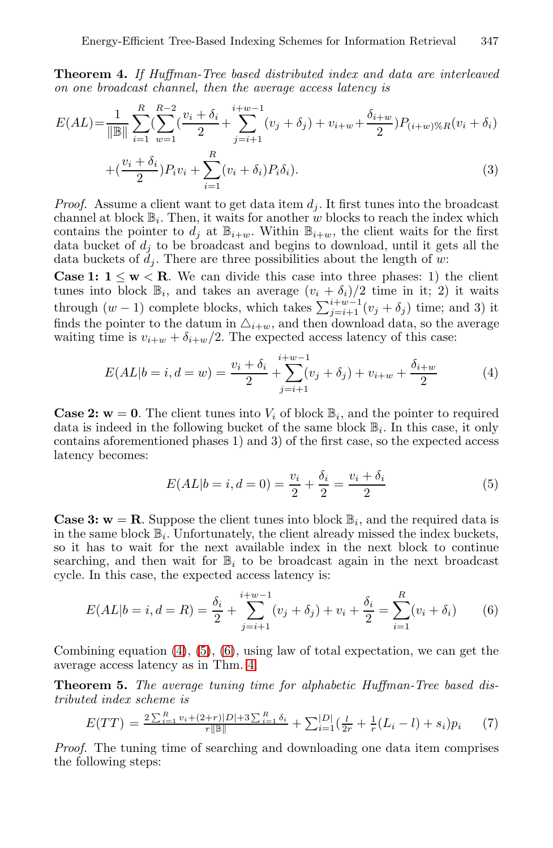<span id="page-12-3"></span>**Theorem 4.** *If Huffman-Tree based distributed index and data are interleaved on one broadcast channel, then the average access latency is*

$$
E(AL) = \frac{1}{\|\mathbb{B}\|} \sum_{i=1}^{R} \left( \sum_{w=1}^{R-2} \left( \frac{v_i + \delta_i}{2} + \sum_{j=i+1}^{i+w-1} (v_j + \delta_j) + v_{i+w} + \frac{\delta_{i+w}}{2} \right) P_{(i+w)\%R}(v_i + \delta_i) \right. \\ \left. + \left( \frac{v_i + \delta_i}{2} \right) P_i v_i + \sum_{i=1}^{R} (v_i + \delta_i) P_i \delta_i \right). \tag{3}
$$

*Proof.* Assume a client want to get data item  $d_j$ . It first tunes into the broadcast channel at block  $\mathbb{B}_i$ . Then, it waits for another w blocks to reach the index which contains the pointer to  $d_i$  at  $\mathbb{B}_{i+w}$ . Within  $\mathbb{B}_{i+w}$ , the client waits for the first data bucket of  $d_i$  to be broadcast and begins to download, until it gets all the data buckets of  $d_i$ . There are three possibilities about the length of w:

**Case 1:**  $1 \leq w \leq R$ . We can divide this case into three phases: 1) the client tunes into block  $\mathbb{B}_i$ , and takes an average  $(v_i + \delta_i)/2$  time in it; 2) it waits through  $(w-1)$  complete blocks, which takes  $\sum_{j=i+1}^{i+w-1} (v_j + \delta_j)$  time; and 3) it finds the pointer to the datum in  $\Delta_{i+w}$ , and then download data, so the average waiting time is  $v_{i+w} + \delta_{i+w}/2$ . The expected access latency of this case:

<span id="page-12-0"></span>
$$
E(AL|b=i, d=w) = \frac{v_i + \delta_i}{2} + \sum_{j=i+1}^{i+w-1} (v_j + \delta_j) + v_{i+w} + \frac{\delta_{i+w}}{2}
$$
(4)

**Case 2:**  $w = 0$ . The client tunes into  $V_i$  of block  $\mathbb{B}_i$ , and the pointer to required data is indeed in the following bucket of the same block  $\mathbb{B}_i$ . In this case, it only contains aforementioned phases 1) and 3) of the first case, so the expected access latency becomes:

<span id="page-12-1"></span>
$$
E(AL|b=i, d=0) = \frac{v_i}{2} + \frac{\delta_i}{2} = \frac{v_i + \delta_i}{2}
$$
\n(5)

**Case 3:**  $w = R$ . Suppose the client tunes into block  $\mathbb{B}_i$ , and the required data is in the same block  $\mathbb{B}_i$ . Unfortunately, the client already missed the index buckets, so it has to wait for the next available index in the next block to continue searching, and then wait for  $\mathbb{B}_i$  to be broadcast again in the next broadcast cycle. In this case, the expected access latency is:

<span id="page-12-2"></span>
$$
E(AL|b=i, d=R) = \frac{\delta_i}{2} + \sum_{j=i+1}^{i+w-1} (v_j + \delta_j) + v_i + \frac{\delta_i}{2} = \sum_{i=1}^{R} (v_i + \delta_i)
$$
(6)

Combining equation [\(4\)](#page-12-0), [\(5\)](#page-12-1), [\(6\)](#page-12-2), using law of total expectation, we can get the average access latency as in Thm. [4.](#page-12-3)

<span id="page-12-4"></span>**Theorem 5.** *The average tuning time for alphabetic Huffman-Tree based distributed index scheme is*

$$
E(TT) = \frac{2\sum_{i=1}^{R} v_i + (2+r)|D| + 3\sum_{i=1}^{R} \delta_i}{r\|\mathbb{B}\|} + \sum_{i=1}^{|D|} \left(\frac{l}{2r} + \frac{1}{r}(L_i - l) + s_i\right) p_i \tag{7}
$$

*Proof.* The tuning time of searching and downloading one data item comprises the following steps: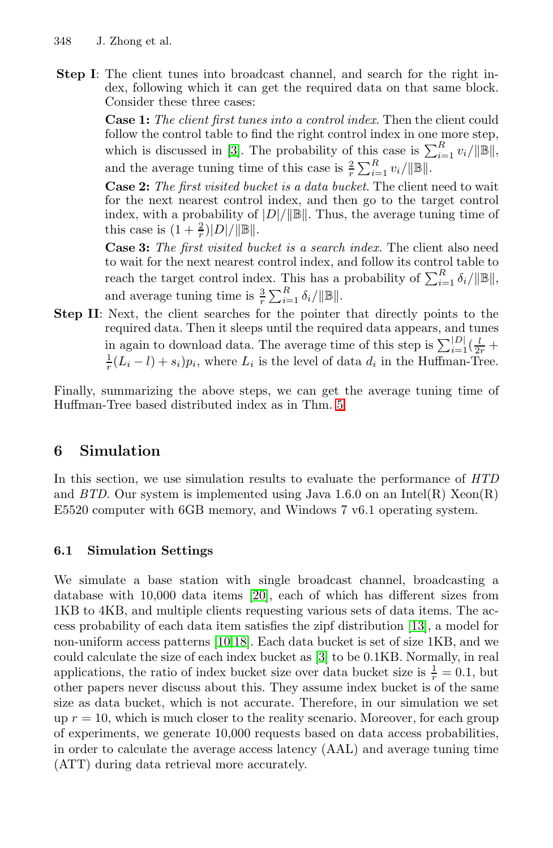**Step I**: The client tunes into broadcast channel, and search for the right index, following which it can get the required data on that same block. Consider these three cases:

> **Case 1:** *The client first tunes into a control index*. Then the client could follow the control table to find the right control index in one more step, which is discussed in [\[3\]](#page-15-0). The probability of this case is  $\sum_{i=1}^{R} v_i / ||\mathbb{B}||$ , and the average tuning time of this case is  $\frac{2}{r} \sum_{i=1}^{R} v_i / ||\mathbb{B}||$ .

> **Case 2:** *The first visited bucket is a data bucket*. The client need to wait for the next nearest control index, and then go to the target control index, with a probability of  $|D|/||\mathbb{B}||$ . Thus, the average tuning time of this case is  $(1 + \frac{2}{r})|D|/\|\mathbb{B}\|.$

> **Case 3:** *The first visited bucket is a search index.* The client also need to wait for the next nearest control index, and follow its control table to reach the target control index. This has a probability of  $\sum_{i=1}^{R} \delta_i / ||\mathbb{B}||$ , and average tuning time is  $\frac{3}{r} \sum_{i=1}^{R} \delta_i / ||\mathbb{B}||$ .

**Step II**: Next, the client searches for the pointer that directly points to the required data. Then it sleeps until the required data appears, and tunes in again to download data. The average time of this step is  $\sum_{i=1}^{|D|}(\frac{l}{2r} +$  $\frac{1}{r}(L_i - l) + s_i)p_i$ , where  $L_i$  is the level of data  $d_i$  in the Huffman-Tree.

Finally, summarizing the above steps, we can get the average tuning time of Huffman-Tree based distributed index as in Thm. [5.](#page-12-4)

## <span id="page-13-0"></span>**6 Simulation**

In this section, we use simulation results to evaluate the performance of *HTD* and *BTD*. Our system is implemented using Java 1.6.0 on an Intel(R) Xeon(R) E5520 computer with 6GB memory, and Windows 7 v6.1 operating system.

## **6.1 Simulation Settings**

We simulate a base station with single broadcast channel, broadcasting a database with 10,000 data items [\[20\]](#page-16-7), each of which has different sizes from 1KB to 4KB, and multiple clients requesting various sets of data items. The access probability of each data item satisfies the zipf distribution [\[13\]](#page-15-9), a model for non-uniform access patterns [\[10,](#page-15-10)[18\]](#page-16-1). Each data bucket is set of size 1KB, and we could calculate the size of each index bucket as [\[3\]](#page-15-0) to be 0.1KB. Normally, in real applications, the ratio of index bucket size over data bucket size is  $\frac{1}{r} = 0.1$ , but other papers never discuss about this. They assume index bucket is of the same size as data bucket, which is not accurate. Therefore, in our simulation we set up  $r = 10$ , which is much closer to the reality scenario. Moreover, for each group of experiments, we generate 10,000 requests based on data access probabilities, in order to calculate the average access latency (AAL) and average tuning time (ATT) during data retrieval more accurately.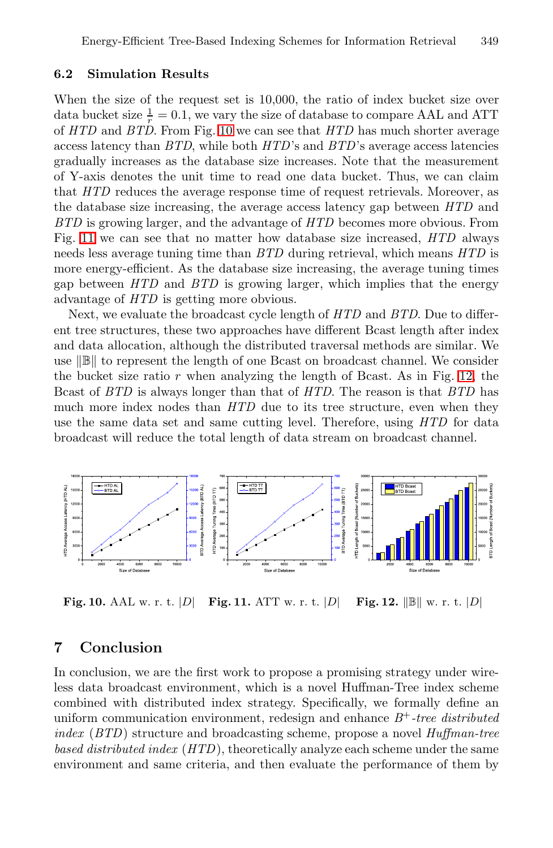#### **6.2 Simulation Results**

When the size of the request set is 10,000, the ratio of index bucket size over data bucket size  $\frac{1}{r} = 0.1$ , we vary the size of database to compare AAL and ATT of *HTD* and *BTD*. From Fig. [10](#page-14-1) we can see that *HTD* has much shorter average access latency than *BTD*, while both *HTD*'s and *BTD*'s average access latencies gradually increases as the database size increases. Note that the measurement of Y-axis denotes the unit time to read one data bucket. Thus, we can claim that *HTD* reduces the average response time of request retrievals. Moreover, as the database size increasing, the average access latency gap between *HTD* and *BTD* is growing larger, and the advantage of *HTD* becomes more obvious. From Fig. [11](#page-14-2) we can see that no matter how database size increased, *HTD* always needs less average tuning time than *BTD* during retrieval, which means *HTD* is more energy-efficient. As the database size increasing, the average tuning times gap between *HTD* and *BTD* is growing larger, which implies that the energy advantage of *HTD* is getting more obvious.

Next, we evaluate the broadcast cycle length of *HTD* and *BTD*. Due to different tree structures, these two approaches have different Bcast length after index and data allocation, although the distributed traversal methods are similar. We use  $\|\mathbb{B}\|$  to represent the length of one Bcast on broadcast channel. We consider the bucket size ratio  $r$  when analyzing the length of Bcast. As in Fig. [12,](#page-14-3) the Bcast of *BTD* is always longer than that of *HTD*. The reason is that *BTD* has much more index nodes than *HTD* due to its tree structure, even when they use the same data set and same cutting level. Therefore, using *HTD* for data broadcast will reduce the total length of data stream on broadcast channel.



<span id="page-14-3"></span><span id="page-14-2"></span><span id="page-14-1"></span>**Fig. 10.** AAL w. r. t.  $|D|$  **Fig. 11.** ATT w. r. t.  $|D|$  **Fig. 12.**  $||\mathbb{B}||$  w. r. t.  $|D|$ 

### <span id="page-14-0"></span>**7 Conclusion**

In conclusion, we are the first work to propose a promising strategy under wireless data broadcast environment, which is a novel Huffman-Tree index scheme combined with distributed index strategy. Specifically, we formally define an uniform communication environment, redesign and enhance *B*<sup>+</sup>*-tree distributed index* (*BTD*) structure and broadcasting scheme, propose a novel *Huffman-tree based distributed index* (*HTD*), theoretically analyze each scheme under the same environment and same criteria, and then evaluate the performance of them by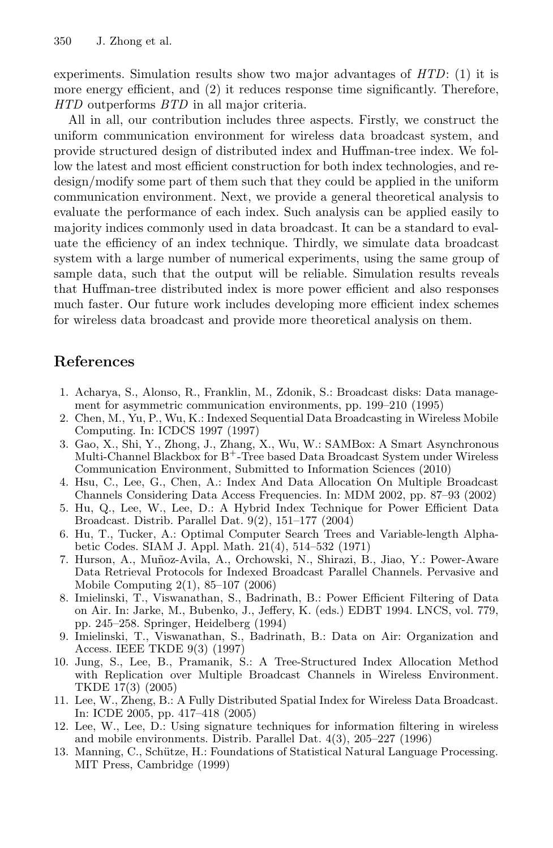experiments. Simulation results show two major advantages of *HTD*: (1) it is more energy efficient, and (2) it reduces response time significantly. Therefore, *HTD* outperforms *BTD* in all major criteria.

All in all, our contribution includes three aspects. Firstly, we construct the uniform communication environment for wireless data broadcast system, and provide structured design of distributed index and Huffman-tree index. We follow the latest and most efficient construction for both index technologies, and redesign/modify some part of them such that they could be applied in the uniform communication environment. Next, we provide a general theoretical analysis to evaluate the performance of each index. Such analysis can be applied easily to majority indices commonly used in data broadcast. It can be a standard to evaluate the efficiency of an index technique. Thirdly, we simulate data broadcast system with a large number of numerical experiments, using the same group of sample data, such that the output will be reliable. Simulation results reveals that Huffman-tree distributed index is more power efficient and also responses much faster. Our future work includes developing more efficient index schemes for wireless data broadcast and provide more theoretical analysis on them.

## **References**

- <span id="page-15-3"></span>1. Acharya, S., Alonso, R., Franklin, M., Zdonik, S.: Broadcast disks: Data management for asymmetric communication environments, pp. 199–210 (1995)
- <span id="page-15-7"></span>2. Chen, M., Yu, P., Wu, K.: Indexed Sequential Data Broadcasting in Wireless Mobile Computing. In: ICDCS 1997 (1997)
- <span id="page-15-0"></span>3. Gao, X., Shi, Y., Zhong, J., Zhang, X., Wu, W.: SAMBox: A Smart Asynchronous Multi-Channel Blackbox for B<sup>+</sup>-Tree based Data Broadcast System under Wireless Communication Environment, Submitted to Information Sciences (2010)
- <span id="page-15-1"></span>4. Hsu, C., Lee, G., Chen, A.: Index And Data Allocation On Multiple Broadcast Channels Considering Data Access Frequencies. In: MDM 2002, pp. 87–93 (2002)
- <span id="page-15-2"></span>5. Hu, Q., Lee, W., Lee, D.: A Hybrid Index Technique for Power Efficient Data Broadcast. Distrib. Parallel Dat. 9(2), 151–177 (2004)
- <span id="page-15-8"></span>6. Hu, T., Tucker, A.: Optimal Computer Search Trees and Variable-length Alphabetic Codes. SIAM J. Appl. Math. 21(4), 514–532 (1971)
- 7. Hurson, A., Mu˜noz-Avila, A., Orchowski, N., Shirazi, B., Jiao, Y.: Power-Aware Data Retrieval Protocols for Indexed Broadcast Parallel Channels. Pervasive and Mobile Computing 2(1), 85–107 (2006)
- <span id="page-15-5"></span>8. Imielinski, T., Viswanathan, S., Badrinath, B.: Power Efficient Filtering of Data on Air. In: Jarke, M., Bubenko, J., Jeffery, K. (eds.) EDBT 1994. LNCS, vol. 779, pp. 245–258. Springer, Heidelberg (1994)
- <span id="page-15-6"></span>9. Imielinski, T., Viswanathan, S., Badrinath, B.: Data on Air: Organization and Access. IEEE TKDE 9(3) (1997)
- <span id="page-15-10"></span>10. Jung, S., Lee, B., Pramanik, S.: A Tree-Structured Index Allocation Method with Replication over Multiple Broadcast Channels in Wireless Environment. TKDE 17(3) (2005)
- 11. Lee, W., Zheng, B.: A Fully Distributed Spatial Index for Wireless Data Broadcast. In: ICDE 2005, pp. 417–418 (2005)
- <span id="page-15-4"></span>12. Lee, W., Lee, D.: Using signature techniques for information filtering in wireless and mobile environments. Distrib. Parallel Dat. 4(3), 205–227 (1996)
- <span id="page-15-9"></span>13. Manning, C., Schütze, H.: Foundations of Statistical Natural Language Processing. MIT Press, Cambridge (1999)